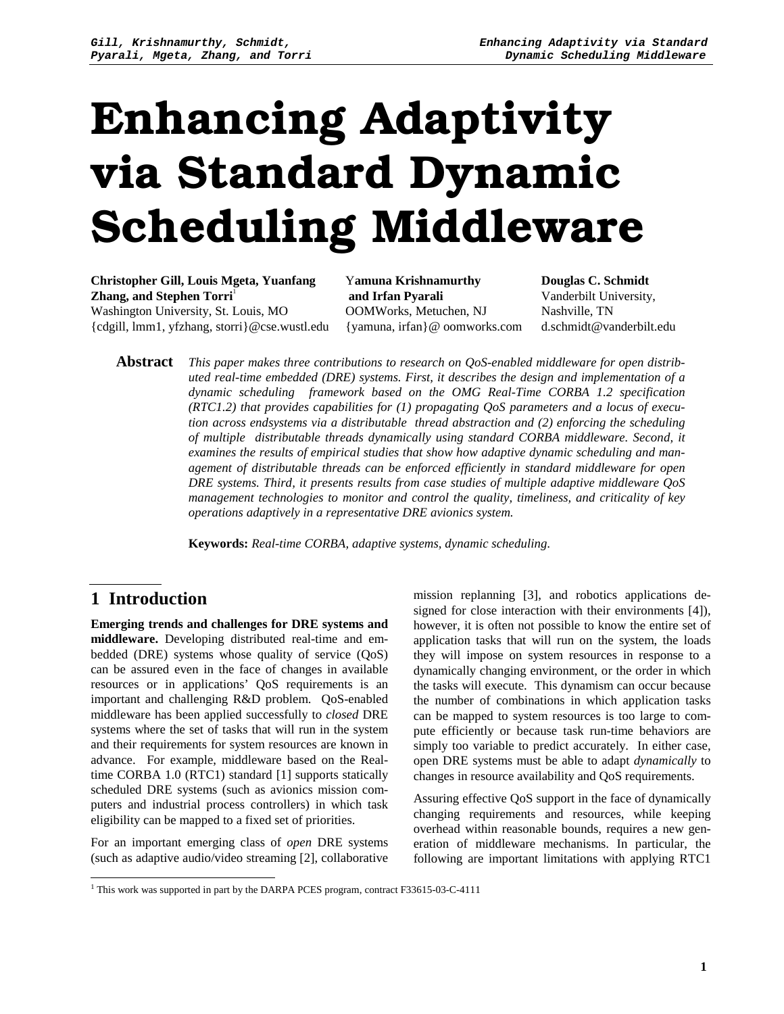# Enhancing Adaptivity via Standard Dynamic Scheduling Middleware

**Christopher Gill, Louis Mgeta, Yuanfang Zhang, and Stephen Torri** 1 Washington University, St. Louis, MO {cdgill, lmm1, yfzhang, storri}@cse.wustl.edu

Y**amuna Krishnamurthy and Irfan Pyarali** OOMWorks, Metuchen, NJ {yamuna, irfan}@ oomworks.com **Douglas C. Schmidt** Vanderbilt University, Nashville, TN d.schmidt@vanderbilt.edu

**Abstract** *This paper makes three contributions to research on QoS-enabled middleware for open distributed real-time embedded (DRE) systems. First, it describes the design and implementation of a dynamic scheduling framework based on the OMG Real-Time CORBA 1.2 specification (RTC1.2) that provides capabilities for (1) propagating QoS parameters and a locus of execution across endsystems via a distributable thread abstraction and (2) enforcing the scheduling of multiple distributable threads dynamically using standard CORBA middleware. Second, it examines the results of empirical studies that show how adaptive dynamic scheduling and management of distributable threads can be enforced efficiently in standard middleware for open DRE systems. Third, it presents results from case studies of multiple adaptive middleware QoS management technologies to monitor and control the quality, timeliness, and criticality of key operations adaptively in a representative DRE avionics system.*

**Keywords:** *Real-time CORBA, adaptive systems, dynamic scheduling.*

## **1 Introduction**

**Emerging trends and challenges for DRE systems and middleware.** Developing distributed real-time and embedded (DRE) systems whose quality of service (QoS) can be assured even in the face of changes in available resources or in applications' QoS requirements is an important and challenging R&D problem. QoS-enabled middleware has been applied successfully to *closed* DRE systems where the set of tasks that will run in the system and their requirements for system resources are known in advance. For example, middleware based on the Realtime CORBA 1.0 (RTC1) standard [1] supports statically scheduled DRE systems (such as avionics mission computers and industrial process controllers) in which task eligibility can be mapped to a fixed set of priorities.

For an important emerging class of *open* DRE systems (such as adaptive audio/video streaming [2], collaborative mission replanning [3], and robotics applications designed for close interaction with their environments [4]), however, it is often not possible to know the entire set of application tasks that will run on the system, the loads they will impose on system resources in response to a dynamically changing environment, or the order in which the tasks will execute. This dynamism can occur because the number of combinations in which application tasks can be mapped to system resources is too large to compute efficiently or because task run-time behaviors are simply too variable to predict accurately. In either case, open DRE systems must be able to adapt *dynamically* to changes in resource availability and QoS requirements.

Assuring effective QoS support in the face of dynamically changing requirements and resources, while keeping overhead within reasonable bounds, requires a new generation of middleware mechanisms. In particular, the following are important limitations with applying RTC1

 $\overline{a}$ <sup>1</sup> This work was supported in part by the DARPA PCES program, contract F33615-03-C-4111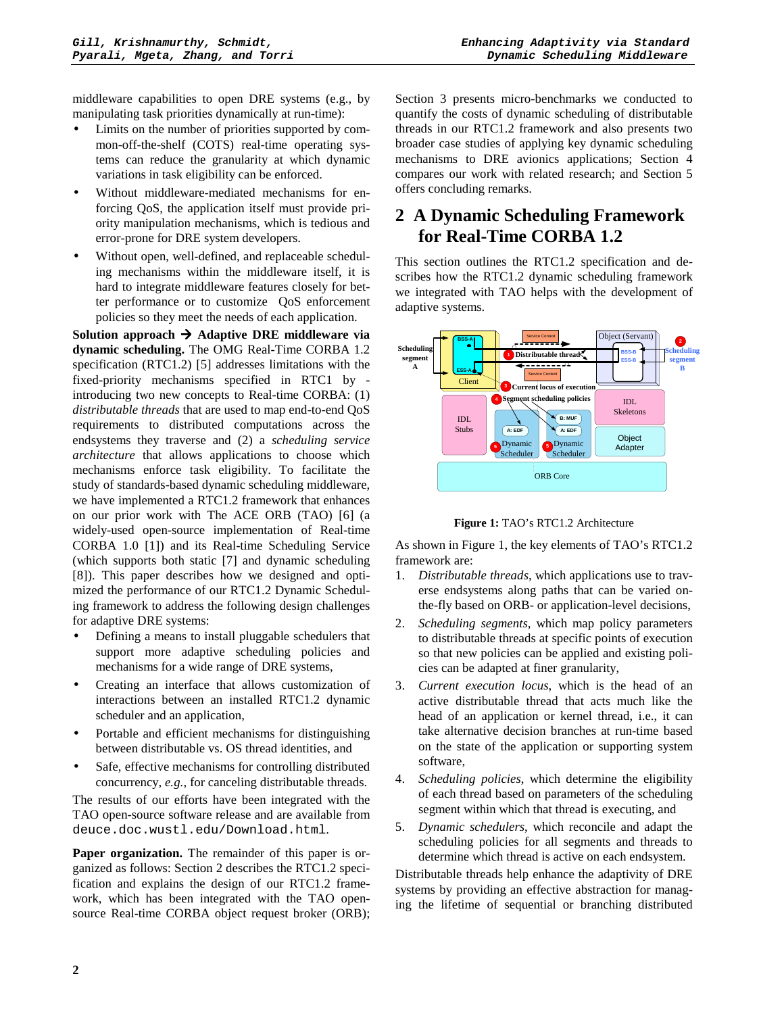middleware capabilities to open DRE systems (e.g., by manipulating task priorities dynamically at run-time):

- Limits on the number of priorities supported by common-off-the-shelf (COTS) real-time operating systems can reduce the granularity at which dynamic variations in task eligibility can be enforced.
- Without middleware-mediated mechanisms for enforcing QoS, the application itself must provide priority manipulation mechanisms, which is tedious and error-prone for DRE system developers.
- Without open, well-defined, and replaceable scheduling mechanisms within the middleware itself, it is hard to integrate middleware features closely for better performance or to customize QoS enforcement policies so they meet the needs of each application.

**Solution approach Adaptive DRE middleware via dynamic scheduling.** The OMG Real-Time CORBA 1.2 specification (RTC1.2) [5] addresses limitations with the fixed-priority mechanisms specified in RTC1 by introducing two new concepts to Real-time CORBA: (1) *distributable threads* that are used to map end-to-end QoS requirements to distributed computations across the endsystems they traverse and (2) a *scheduling service architecture* that allows applications to choose which mechanisms enforce task eligibility. To facilitate the study of standards-based dynamic scheduling middleware, we have implemented a RTC1.2 framework that enhances on our prior work with The ACE ORB (TAO) [6] (a widely-used open-source implementation of Real-time CORBA 1.0 [1]) and its Real-time Scheduling Service (which supports both static [7] and dynamic scheduling [8]). This paper describes how we designed and optimized the performance of our RTC1.2 Dynamic Scheduling framework to address the following design challenges for adaptive DRE systems:

- Defining a means to install pluggable schedulers that support more adaptive scheduling policies and mechanisms for a wide range of DRE systems,
- Creating an interface that allows customization of interactions between an installed RTC1.2 dynamic scheduler and an application,
- Portable and efficient mechanisms for distinguishing between distributable vs. OS thread identities, and
- Safe, effective mechanisms for controlling distributed concurrency, *e.g.*, for canceling distributable threads.

The results of our efforts have been integrated with the TAO open-source software release and are available from deuce.doc.wustl.edu/Download.html.

**Paper organization.** The remainder of this paper is organized as follows: Section 2 describes the RTC1.2 specification and explains the design of our RTC1.2 framework, which has been integrated with the TAO opensource Real-time CORBA object request broker (ORB); Section 3 presents micro-benchmarks we conducted to quantify the costs of dynamic scheduling of distributable threads in our RTC1.2 framework and also presents two broader case studies of applying key dynamic scheduling mechanisms to DRE avionics applications; Section 4 compares our work with related research; and Section 5 offers concluding remarks.

# **2 A Dynamic Scheduling Framework for Real-Time CORBA 1.2**

This section outlines the RTC1.2 specification and describes how the RTC1.2 dynamic scheduling framework we integrated with TAO helps with the development of adaptive systems.



**Figure 1:** TAO's RTC1.2 Architecture

As shown in Figure 1, the key elements of TAO's RTC1.2 framework are:

- 1. *Distributable threads*, which applications use to traverse endsystems along paths that can be varied onthe-fly based on ORB- or application-level decisions,
- 2. *Scheduling segments*, which map policy parameters to distributable threads at specific points of execution so that new policies can be applied and existing policies can be adapted at finer granularity,
- 3. *Current execution locus*, which is the head of an active distributable thread that acts much like the head of an application or kernel thread, i.e., it can take alternative decision branches at run-time based on the state of the application or supporting system software,
- 4. *Scheduling policies*, which determine the eligibility of each thread based on parameters of the scheduling segment within which that thread is executing, and
- 5. *Dynamic schedulers*, which reconcile and adapt the scheduling policies for all segments and threads to determine which thread is active on each endsystem.

Distributable threads help enhance the adaptivity of DRE systems by providing an effective abstraction for managing the lifetime of sequential or branching distributed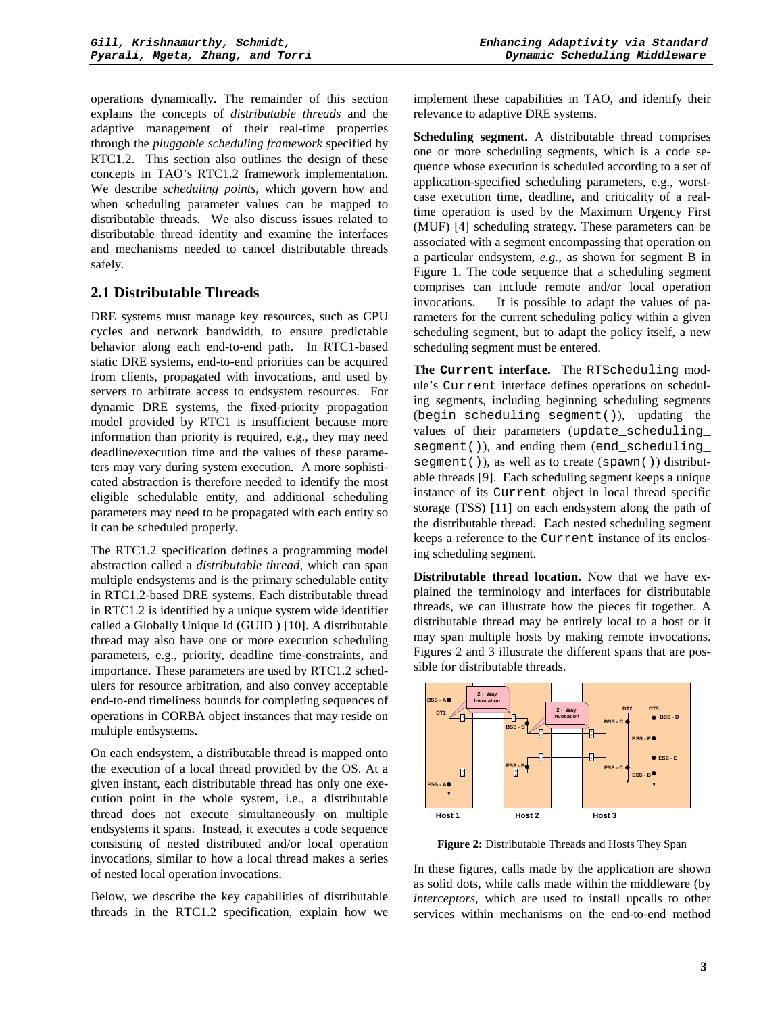operations dynamically. The remainder of this section explains the concepts of *distributable threads* and the adaptive management of their real-time properties through the *pluggable scheduling framework* specified by RTC1.2. This section also outlines the design of these concepts in TAO's RTC1.2 framework implementation. We describe *scheduling points*, which govern how and when scheduling parameter values can be mapped to distributable threads. We also discuss issues related to distributable thread identity and examine the interfaces and mechanisms needed to cancel distributable threads safely.

#### **2.1 Distributable Threads**

DRE systems must manage key resources, such as CPU cycles and network bandwidth, to ensure predictable behavior along each end-to-end path. In RTC1-based static DRE systems, end-to-end priorities can be acquired from clients, propagated with invocations, and used by servers to arbitrate access to endsystem resources. For dynamic DRE systems, the fixed-priority propagation model provided by RTC1 is insufficient because more information than priority is required, e.g., they may need deadline/execution time and the values of these parameters may vary during system execution. A more sophisticated abstraction is therefore needed to identify the most eligible schedulable entity, and additional scheduling parameters may need to be propagated with each entity so it can be scheduled properly.

The RTC1.2 specification defines a programming model abstraction called a *distributable thread*, which can span multiple endsystems and is the primary schedulable entity in RTC1.2-based DRE systems. Each distributable thread in RTC1.2 is identified by a unique system wide identifier called a Globally Unique Id (GUID ) [10]. A distributable thread may also have one or more execution scheduling parameters, e.g., priority, deadline time-constraints, and importance. These parameters are used by RTC1.2 schedulers for resource arbitration, and also convey acceptable end-to-end timeliness bounds for completing sequences of operations in CORBA object instances that may reside on multiple endsystems.

On each endsystem, a distributable thread is mapped onto the execution of a local thread provided by the OS. At a given instant, each distributable thread has only one execution point in the whole system, i.e., a distributable thread does not execute simultaneously on multiple endsystems it spans. Instead, it executes a code sequence consisting of nested distributed and/or local operation invocations, similar to how a local thread makes a series of nested local operation invocations.

Below, we describe the key capabilities of distributable threads in the RTC1.2 specification, explain how we implement these capabilities in TAO, and identify their relevance to adaptive DRE systems.

**Scheduling segment.** A distributable thread comprises one or more scheduling segments, which is a code sequence whose execution is scheduled according to a set of application-specified scheduling parameters, e.g., worstcase execution time, deadline, and criticality of a realtime operation is used by the Maximum Urgency First (MUF) [4] scheduling strategy. These parameters can be associated with a segment encompassing that operation on a particular endsystem, *e.g.*, as shown for segment B in Figure 1. The code sequence that a scheduling segment comprises can include remote and/or local operation invocations. It is possible to adapt the values of parameters for the current scheduling policy within a given scheduling segment, but to adapt the policy itself, a new scheduling segment must be entered.

**The Current interface.** The RTScheduling module's Current interface defines operations on scheduling segments, including beginning scheduling segments (begin\_scheduling\_segment()), updating the values of their parameters (update scheduling segment()), and ending them (end scheduling segment()), as well as to create (spawn()) distributable threads [9]. Each scheduling segment keeps a unique instance of its Current object in local thread specific storage (TSS) [11] on each endsystem along the path of the distributable thread. Each nested scheduling segment keeps a reference to the Current instance of its enclosing scheduling segment.

**Distributable thread location.** Now that we have explained the terminology and interfaces for distributable threads, we can illustrate how the pieces fit together. A distributable thread may be entirely local to a host or it may span multiple hosts by making remote invocations. Figures 2 and 3 illustrate the different spans that are possible for distributable threads.



**Figure 2:** Distributable Threads and Hosts They Span

In these figures, calls made by the application are shown as solid dots, while calls made within the middleware (by *interceptors*, which are used to install upcalls to other services within mechanisms on the end-to-end method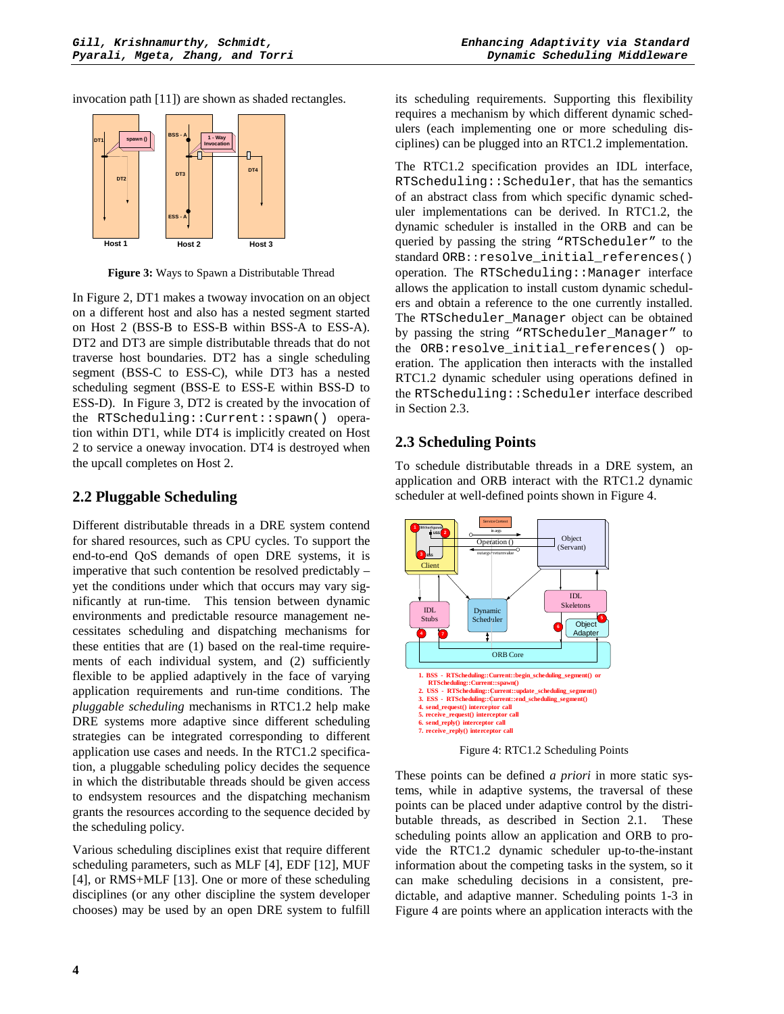invocation path [11]) are shown as shaded rectangles.



**Figure 3:** Ways to Spawn a Distributable Thread

In Figure 2, DT1 makes a twoway invocation on an object on a different host and also has a nested segment started on Host 2 (BSS-B to ESS-B within BSS-A to ESS-A). DT2 and DT3 are simple distributable threads that do not traverse host boundaries. DT2 has a single scheduling segment (BSS-C to ESS-C), while DT3 has a nested scheduling segment (BSS-E to ESS-E within BSS-D to ESS-D). In Figure 3, DT2 is created by the invocation of the RTScheduling::Current::spawn() operation within DT1, while DT4 is implicitly created on Host 2 to service a oneway invocation. DT4 is destroyed when the upcall completes on Host 2.

## **2.2 Pluggable Scheduling**

Different distributable threads in a DRE system contend for shared resources, such as CPU cycles. To support the end-to-end QoS demands of open DRE systems, it is imperative that such contention be resolved predictably – yet the conditions under which that occurs may vary significantly at run-time. This tension between dynamic environments and predictable resource management necessitates scheduling and dispatching mechanisms for these entities that are (1) based on the real-time requirements of each individual system, and (2) sufficiently flexible to be applied adaptively in the face of varying application requirements and run-time conditions. The *pluggable scheduling* mechanisms in RTC1.2 help make DRE systems more adaptive since different scheduling strategies can be integrated corresponding to different application use cases and needs. In the RTC1.2 specification, a pluggable scheduling policy decides the sequence in which the distributable threads should be given access to endsystem resources and the dispatching mechanism grants the resources according to the sequence decided by the scheduling policy.

Various scheduling disciplines exist that require different scheduling parameters, such as MLF [4], EDF [12], MUF [4], or RMS+MLF [13]. One or more of these scheduling disciplines (or any other discipline the system developer chooses) may be used by an open DRE system to fulfill its scheduling requirements. Supporting this flexibility requires a mechanism by which different dynamic schedulers (each implementing one or more scheduling disciplines) can be plugged into an RTC1.2 implementation.

The RTC1.2 specification provides an IDL interface, RTScheduling::Scheduler, that has the semantics of an abstract class from which specific dynamic scheduler implementations can be derived. In RTC1.2, the dynamic scheduler is installed in the ORB and can be queried by passing the string "RTScheduler" to the standard ORB::resolve\_initial\_references() operation. The RTScheduling::Manager interface allows the application to install custom dynamic schedulers and obtain a reference to the one currently installed. The RTScheduler\_Manager object can be obtained by passing the string "RTScheduler\_Manager" to the ORB:resolve\_initial\_references() operation. The application then interacts with the installed RTC1.2 dynamic scheduler using operations defined in the RTScheduling::Scheduler interface described in Section 2.3.

## **2.3 Scheduling Points**

To schedule distributable threads in a DRE system, an application and ORB interact with the RTC1.2 dynamic scheduler at well-defined points shown in Figure 4.



Figure 4: RTC1.2 Scheduling Points

These points can be defined *a priori* in more static systems, while in adaptive systems, the traversal of these points can be placed under adaptive control by the distributable threads, as described in Section 2.1. These scheduling points allow an application and ORB to provide the RTC1.2 dynamic scheduler up-to-the-instant information about the competing tasks in the system, so it can make scheduling decisions in a consistent, predictable, and adaptive manner. Scheduling points 1-3 in Figure 4 are points where an application interacts with the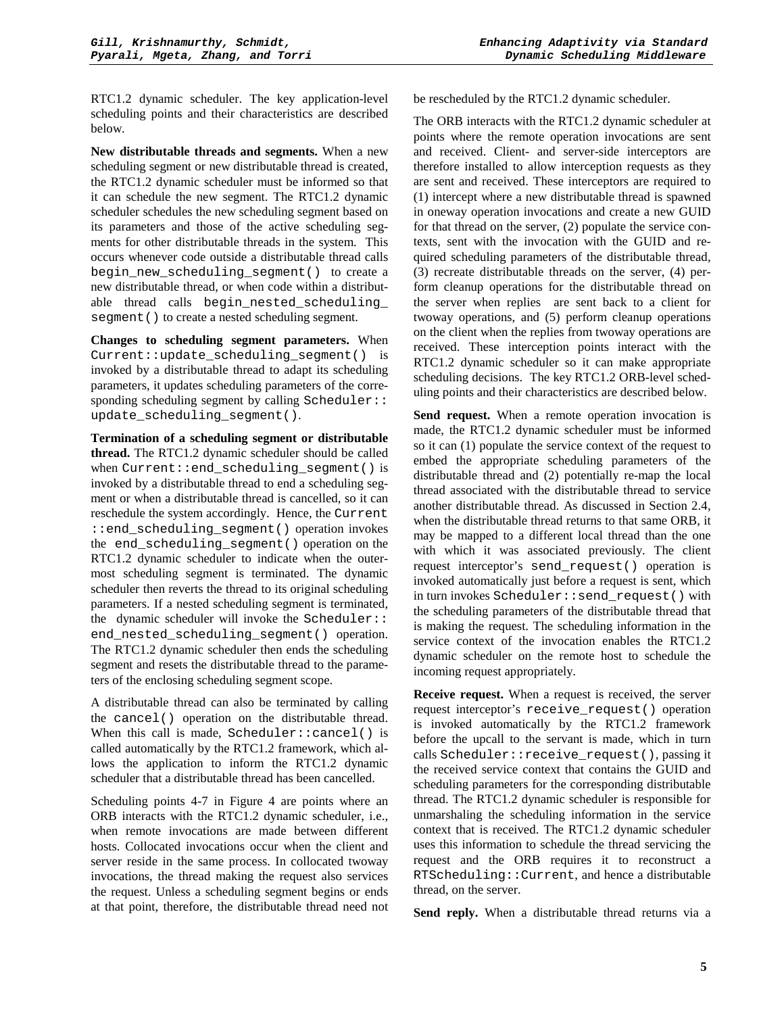RTC1.2 dynamic scheduler. The key application-level scheduling points and their characteristics are described below.

**New distributable threads and segments.** When a new scheduling segment or new distributable thread is created, the RTC1.2 dynamic scheduler must be informed so that it can schedule the new segment. The RTC1.2 dynamic scheduler schedules the new scheduling segment based on its parameters and those of the active scheduling segments for other distributable threads in the system. This occurs whenever code outside a distributable thread calls begin\_new\_scheduling\_segment() to create a new distributable thread, or when code within a distributable thread calls begin\_nested\_scheduling\_ segment () to create a nested scheduling segment.

**Changes to scheduling segment parameters.** When Current::update\_scheduling\_segment() is invoked by a distributable thread to adapt its scheduling parameters, it updates scheduling parameters of the corresponding scheduling segment by calling Scheduler:: update\_scheduling\_segment().

**Termination of a scheduling segment or distributable thread.** The RTC1.2 dynamic scheduler should be called when Current::end\_scheduling\_segment() is invoked by a distributable thread to end a scheduling segment or when a distributable thread is cancelled, so it can reschedule the system accordingly. Hence, the Current ::end\_scheduling\_segment() operation invokes the end\_scheduling\_segment() operation on the RTC1.2 dynamic scheduler to indicate when the outermost scheduling segment is terminated. The dynamic scheduler then reverts the thread to its original scheduling parameters. If a nested scheduling segment is terminated, the dynamic scheduler will invoke the Scheduler:: end\_nested\_scheduling\_segment() operation. The RTC1.2 dynamic scheduler then ends the scheduling segment and resets the distributable thread to the parameters of the enclosing scheduling segment scope.

A distributable thread can also be terminated by calling the cancel() operation on the distributable thread. When this call is made, Scheduler::cancel() is called automatically by the RTC1.2 framework, which allows the application to inform the RTC1.2 dynamic scheduler that a distributable thread has been cancelled.

Scheduling points 4-7 in Figure 4 are points where an ORB interacts with the RTC1.2 dynamic scheduler, i.e., when remote invocations are made between different hosts. Collocated invocations occur when the client and server reside in the same process. In collocated twoway invocations, the thread making the request also services the request. Unless a scheduling segment begins or ends at that point, therefore, the distributable thread need not be rescheduled by the RTC1.2 dynamic scheduler.

The ORB interacts with the RTC1.2 dynamic scheduler at points where the remote operation invocations are sent and received. Client- and server-side interceptors are therefore installed to allow interception requests as they are sent and received. These interceptors are required to (1) intercept where a new distributable thread is spawned in oneway operation invocations and create a new GUID for that thread on the server, (2) populate the service contexts, sent with the invocation with the GUID and required scheduling parameters of the distributable thread, (3) recreate distributable threads on the server, (4) perform cleanup operations for the distributable thread on the server when replies are sent back to a client for twoway operations, and (5) perform cleanup operations on the client when the replies from twoway operations are received. These interception points interact with the RTC1.2 dynamic scheduler so it can make appropriate scheduling decisions. The key RTC1.2 ORB-level scheduling points and their characteristics are described below.

**Send request.** When a remote operation invocation is made, the RTC1.2 dynamic scheduler must be informed so it can (1) populate the service context of the request to embed the appropriate scheduling parameters of the distributable thread and (2) potentially re-map the local thread associated with the distributable thread to service another distributable thread. As discussed in Section 2.4, when the distributable thread returns to that same ORB, it may be mapped to a different local thread than the one with which it was associated previously. The client request interceptor's send\_request() operation is invoked automatically just before a request is sent, which in turn invokes Scheduler::send\_request() with the scheduling parameters of the distributable thread that is making the request. The scheduling information in the service context of the invocation enables the RTC1.2 dynamic scheduler on the remote host to schedule the incoming request appropriately.

**Receive request.** When a request is received, the server request interceptor's receive\_request() operation is invoked automatically by the RTC1.2 framework before the upcall to the servant is made, which in turn calls Scheduler::receive\_request(), passing it the received service context that contains the GUID and scheduling parameters for the corresponding distributable thread. The RTC1.2 dynamic scheduler is responsible for unmarshaling the scheduling information in the service context that is received. The RTC1.2 dynamic scheduler uses this information to schedule the thread servicing the request and the ORB requires it to reconstruct a RTScheduling::Current, and hence a distributable thread, on the server.

**Send reply.** When a distributable thread returns via a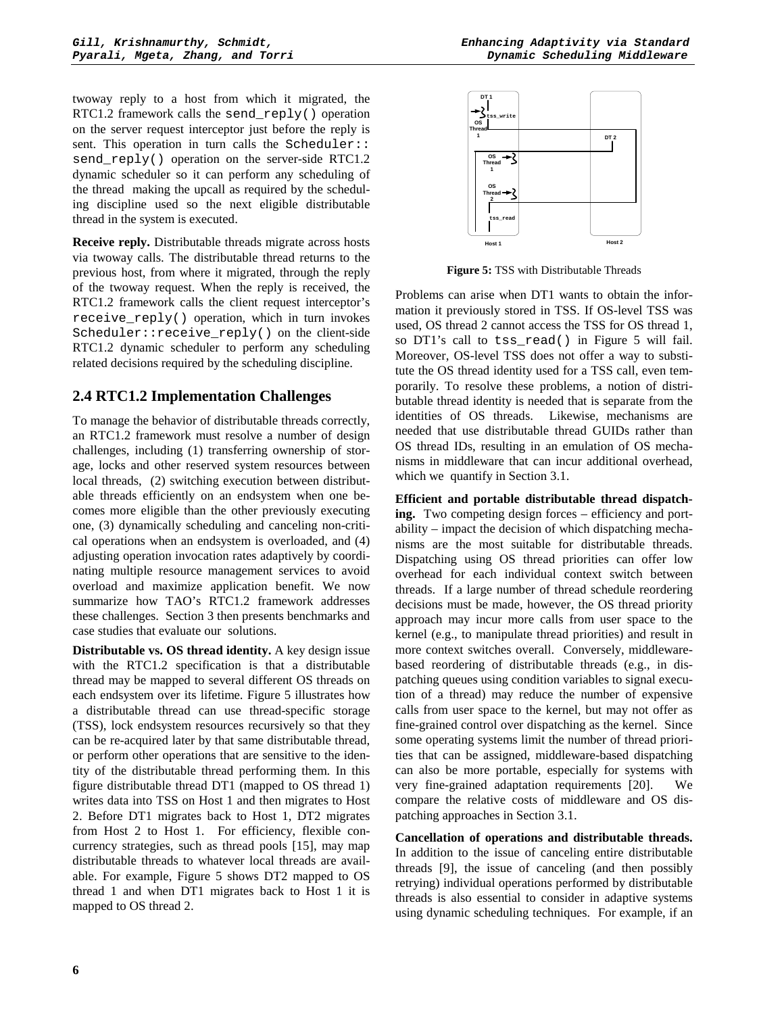twoway reply to a host from which it migrated, the RTC1.2 framework calls the send reply() operation on the server request interceptor just before the reply is sent. This operation in turn calls the Scheduler:: send\_reply() operation on the server-side RTC1.2 dynamic scheduler so it can perform any scheduling of the thread making the upcall as required by the scheduling discipline used so the next eligible distributable thread in the system is executed.

**Receive reply.** Distributable threads migrate across hosts via twoway calls. The distributable thread returns to the previous host, from where it migrated, through the reply of the twoway request. When the reply is received, the RTC1.2 framework calls the client request interceptor's receive\_reply() operation, which in turn invokes Scheduler:: receive reply() on the client-side RTC1.2 dynamic scheduler to perform any scheduling related decisions required by the scheduling discipline.

#### **2.4 RTC1.2 Implementation Challenges**

To manage the behavior of distributable threads correctly, an RTC1.2 framework must resolve a number of design challenges, including (1) transferring ownership of storage, locks and other reserved system resources between local threads, (2) switching execution between distributable threads efficiently on an endsystem when one becomes more eligible than the other previously executing one, (3) dynamically scheduling and canceling non-critical operations when an endsystem is overloaded, and (4) adjusting operation invocation rates adaptively by coordinating multiple resource management services to avoid overload and maximize application benefit. We now summarize how TAO's RTC1.2 framework addresses these challenges. Section 3 then presents benchmarks and case studies that evaluate our solutions.

**Distributable vs. OS thread identity.** A key design issue with the RTC1.2 specification is that a distributable thread may be mapped to several different OS threads on each endsystem over its lifetime. Figure 5 illustrates how a distributable thread can use thread-specific storage (TSS), lock endsystem resources recursively so that they can be re-acquired later by that same distributable thread, or perform other operations that are sensitive to the identity of the distributable thread performing them. In this figure distributable thread DT1 (mapped to OS thread 1) writes data into TSS on Host 1 and then migrates to Host 2. Before DT1 migrates back to Host 1, DT2 migrates from Host 2 to Host 1. For efficiency, flexible concurrency strategies, such as thread pools [15], may map distributable threads to whatever local threads are available. For example, Figure 5 shows DT2 mapped to OS thread 1 and when DT1 migrates back to Host 1 it is mapped to OS thread 2.



**Figure 5:** TSS with Distributable Threads

Problems can arise when DT1 wants to obtain the information it previously stored in TSS. If OS-level TSS was used, OS thread 2 cannot access the TSS for OS thread 1, so DT1's call to tss read() in Figure 5 will fail. Moreover, OS-level TSS does not offer a way to substitute the OS thread identity used for a TSS call, even temporarily. To resolve these problems, a notion of distributable thread identity is needed that is separate from the identities of OS threads. Likewise, mechanisms are needed that use distributable thread GUIDs rather than OS thread IDs, resulting in an emulation of OS mechanisms in middleware that can incur additional overhead, which we quantify in Section 3.1.

**Efficient and portable distributable thread dispatching.** Two competing design forces – efficiency and portability – impact the decision of which dispatching mechanisms are the most suitable for distributable threads. Dispatching using OS thread priorities can offer low overhead for each individual context switch between threads. If a large number of thread schedule reordering decisions must be made, however, the OS thread priority approach may incur more calls from user space to the kernel (e.g., to manipulate thread priorities) and result in more context switches overall. Conversely, middlewarebased reordering of distributable threads (e.g., in dispatching queues using condition variables to signal execution of a thread) may reduce the number of expensive calls from user space to the kernel, but may not offer as fine-grained control over dispatching as the kernel. Since some operating systems limit the number of thread priorities that can be assigned, middleware-based dispatching can also be more portable, especially for systems with very fine-grained adaptation requirements [20]. We compare the relative costs of middleware and OS dispatching approaches in Section 3.1.

**Cancellation of operations and distributable threads.** In addition to the issue of canceling entire distributable threads [9], the issue of canceling (and then possibly retrying) individual operations performed by distributable threads is also essential to consider in adaptive systems using dynamic scheduling techniques. For example, if an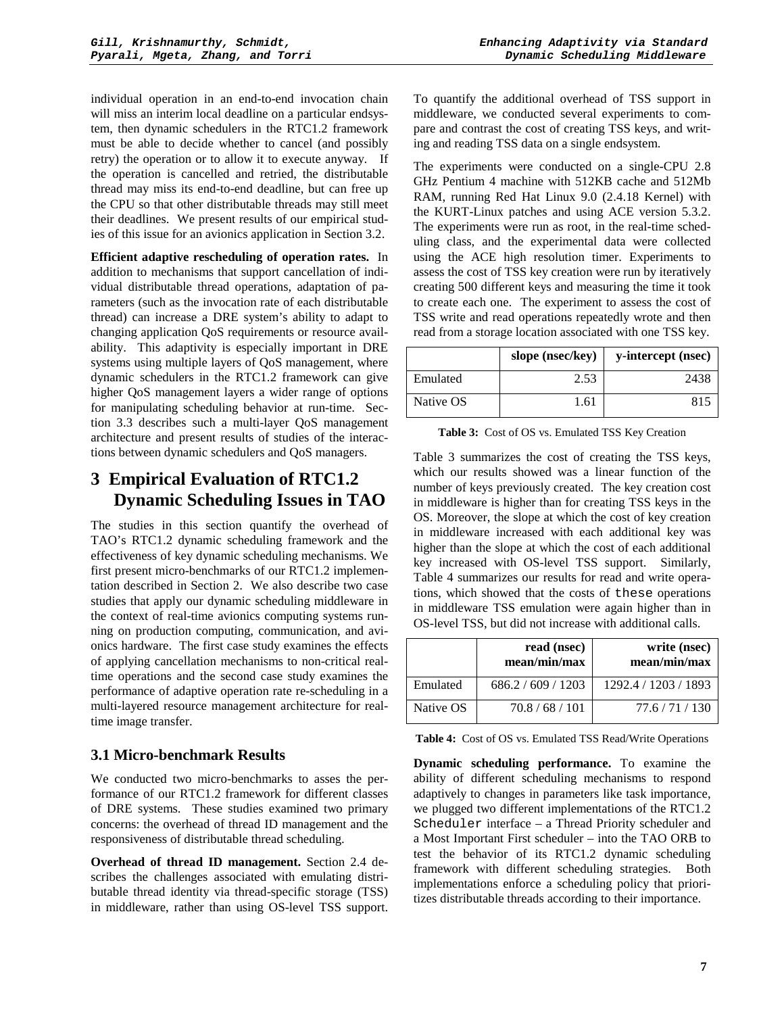individual operation in an end-to-end invocation chain will miss an interim local deadline on a particular endsystem, then dynamic schedulers in the RTC1.2 framework must be able to decide whether to cancel (and possibly retry) the operation or to allow it to execute anyway. If the operation is cancelled and retried, the distributable thread may miss its end-to-end deadline, but can free up the CPU so that other distributable threads may still meet their deadlines. We present results of our empirical studies of this issue for an avionics application in Section 3.2.

**Efficient adaptive rescheduling of operation rates.** In addition to mechanisms that support cancellation of individual distributable thread operations, adaptation of parameters (such as the invocation rate of each distributable thread) can increase a DRE system's ability to adapt to changing application QoS requirements or resource availability. This adaptivity is especially important in DRE systems using multiple layers of QoS management, where dynamic schedulers in the RTC1.2 framework can give higher QoS management layers a wider range of options for manipulating scheduling behavior at run-time. Section 3.3 describes such a multi-layer QoS management architecture and present results of studies of the interactions between dynamic schedulers and QoS managers.

## **3 Empirical Evaluation of RTC1.2 Dynamic Scheduling Issues in TAO**

The studies in this section quantify the overhead of TAO's RTC1.2 dynamic scheduling framework and the effectiveness of key dynamic scheduling mechanisms. We first present micro-benchmarks of our RTC1.2 implementation described in Section 2. We also describe two case studies that apply our dynamic scheduling middleware in the context of real-time avionics computing systems running on production computing, communication, and avionics hardware. The first case study examines the effects of applying cancellation mechanisms to non-critical realtime operations and the second case study examines the performance of adaptive operation rate re-scheduling in a multi-layered resource management architecture for realtime image transfer.

## **3.1 Micro-benchmark Results**

We conducted two micro-benchmarks to asses the performance of our RTC1.2 framework for different classes of DRE systems. These studies examined two primary concerns: the overhead of thread ID management and the responsiveness of distributable thread scheduling.

**Overhead of thread ID management.** Section 2.4 describes the challenges associated with emulating distributable thread identity via thread-specific storage (TSS) in middleware, rather than using OS-level TSS support. To quantify the additional overhead of TSS support in middleware, we conducted several experiments to compare and contrast the cost of creating TSS keys, and writing and reading TSS data on a single endsystem.

The experiments were conducted on a single-CPU 2.8 GHz Pentium 4 machine with 512KB cache and 512Mb RAM, running Red Hat Linux 9.0 (2.4.18 Kernel) with the KURT-Linux patches and using ACE version 5.3.2. The experiments were run as root, in the real-time scheduling class, and the experimental data were collected using the ACE high resolution timer. Experiments to assess the cost of TSS key creation were run by iteratively creating 500 different keys and measuring the time it took to create each one. The experiment to assess the cost of TSS write and read operations repeatedly wrote and then read from a storage location associated with one TSS key.

|           | slope (nsec/key) | y-intercept (nsec) |
|-----------|------------------|--------------------|
| Emulated  | 2.53             | 2438               |
| Native OS | 1.61             | 815                |

**Table 3:** Cost of OS vs. Emulated TSS Key Creation

Table 3 summarizes the cost of creating the TSS keys, which our results showed was a linear function of the number of keys previously created. The key creation cost in middleware is higher than for creating TSS keys in the OS. Moreover, the slope at which the cost of key creation in middleware increased with each additional key was higher than the slope at which the cost of each additional key increased with OS-level TSS support. Similarly, Table 4 summarizes our results for read and write operations, which showed that the costs of these operations in middleware TSS emulation were again higher than in OS-level TSS, but did not increase with additional calls.

|           | read (nsec)<br>mean/min/max | write (nsec)<br>mean/min/max |
|-----------|-----------------------------|------------------------------|
| Emulated  | 686.2 / 609 / 1203          | 1292.4 / 1203 / 1893         |
| Native OS | 70.8 / 68 / 101             | 77.6/71/130                  |

**Table 4:** Cost of OS vs. Emulated TSS Read/Write Operations

**Dynamic scheduling performance.** To examine the ability of different scheduling mechanisms to respond adaptively to changes in parameters like task importance, we plugged two different implementations of the RTC1.2 Scheduler interface – a Thread Priority scheduler and a Most Important First scheduler – into the TAO ORB to test the behavior of its RTC1.2 dynamic scheduling framework with different scheduling strategies. Both implementations enforce a scheduling policy that prioritizes distributable threads according to their importance.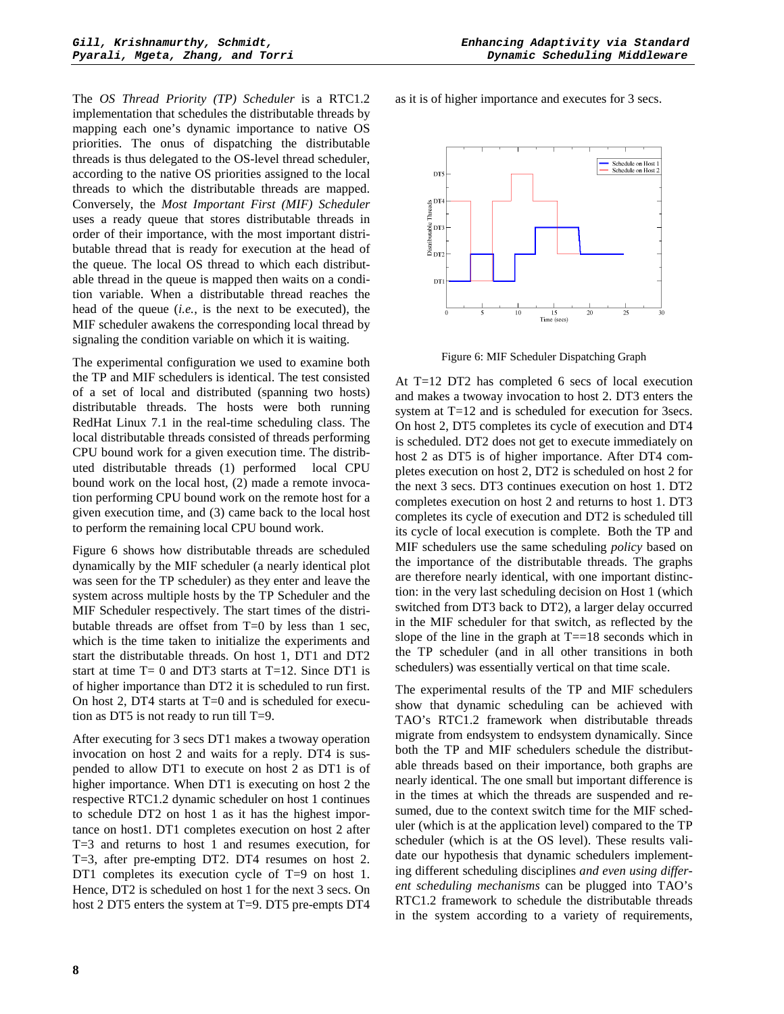The *OS Thread Priority (TP) Scheduler* is a RTC1.2 implementation that schedules the distributable threads by mapping each one's dynamic importance to native OS priorities. The onus of dispatching the distributable threads is thus delegated to the OS-level thread scheduler, according to the native OS priorities assigned to the local threads to which the distributable threads are mapped. Conversely, the *Most Important First (MIF) Scheduler* uses a ready queue that stores distributable threads in order of their importance, with the most important distributable thread that is ready for execution at the head of the queue. The local OS thread to which each distributable thread in the queue is mapped then waits on a condition variable. When a distributable thread reaches the head of the queue (*i.e.*, is the next to be executed), the MIF scheduler awakens the corresponding local thread by signaling the condition variable on which it is waiting.

The experimental configuration we used to examine both the TP and MIF schedulers is identical. The test consisted of a set of local and distributed (spanning two hosts) distributable threads. The hosts were both running RedHat Linux 7.1 in the real-time scheduling class. The local distributable threads consisted of threads performing CPU bound work for a given execution time. The distributed distributable threads (1) performed local CPU bound work on the local host, (2) made a remote invocation performing CPU bound work on the remote host for a given execution time, and (3) came back to the local host to perform the remaining local CPU bound work.

Figure 6 shows how distributable threads are scheduled dynamically by the MIF scheduler (a nearly identical plot was seen for the TP scheduler) as they enter and leave the system across multiple hosts by the TP Scheduler and the MIF Scheduler respectively. The start times of the distributable threads are offset from T=0 by less than 1 sec, which is the time taken to initialize the experiments and start the distributable threads. On host 1, DT1 and DT2 start at time  $T= 0$  and DT3 starts at  $T=12$ . Since DT1 is of higher importance than DT2 it is scheduled to run first. On host 2, DT4 starts at T=0 and is scheduled for execution as DT5 is not ready to run till T=9.

After executing for 3 secs DT1 makes a twoway operation invocation on host 2 and waits for a reply. DT4 is suspended to allow DT1 to execute on host 2 as DT1 is of higher importance. When DT1 is executing on host 2 the respective RTC1.2 dynamic scheduler on host 1 continues to schedule DT2 on host 1 as it has the highest importance on host1. DT1 completes execution on host 2 after T=3 and returns to host 1 and resumes execution, for T=3, after pre-empting DT2. DT4 resumes on host 2. DT1 completes its execution cycle of T=9 on host 1. Hence, DT2 is scheduled on host 1 for the next 3 secs. On host 2 DT5 enters the system at T=9. DT5 pre-empts DT4

as it is of higher importance and executes for 3 secs.



Figure 6: MIF Scheduler Dispatching Graph

At T=12 DT2 has completed 6 secs of local execution and makes a twoway invocation to host 2. DT3 enters the system at T=12 and is scheduled for execution for 3secs. On host 2, DT5 completes its cycle of execution and DT4 is scheduled. DT2 does not get to execute immediately on host 2 as DT5 is of higher importance. After DT4 completes execution on host 2, DT2 is scheduled on host 2 for the next 3 secs. DT3 continues execution on host 1. DT2 completes execution on host 2 and returns to host 1. DT3 completes its cycle of execution and DT2 is scheduled till its cycle of local execution is complete. Both the TP and MIF schedulers use the same scheduling *policy* based on the importance of the distributable threads. The graphs are therefore nearly identical, with one important distinction: in the very last scheduling decision on Host 1 (which switched from DT3 back to DT2), a larger delay occurred in the MIF scheduler for that switch, as reflected by the slope of the line in the graph at  $T = 18$  seconds which in the TP scheduler (and in all other transitions in both schedulers) was essentially vertical on that time scale.

The experimental results of the TP and MIF schedulers show that dynamic scheduling can be achieved with TAO's RTC1.2 framework when distributable threads migrate from endsystem to endsystem dynamically. Since both the TP and MIF schedulers schedule the distributable threads based on their importance, both graphs are nearly identical. The one small but important difference is in the times at which the threads are suspended and resumed, due to the context switch time for the MIF scheduler (which is at the application level) compared to the TP scheduler (which is at the OS level). These results validate our hypothesis that dynamic schedulers implementing different scheduling disciplines *and even using different scheduling mechanisms* can be plugged into TAO's RTC1.2 framework to schedule the distributable threads in the system according to a variety of requirements,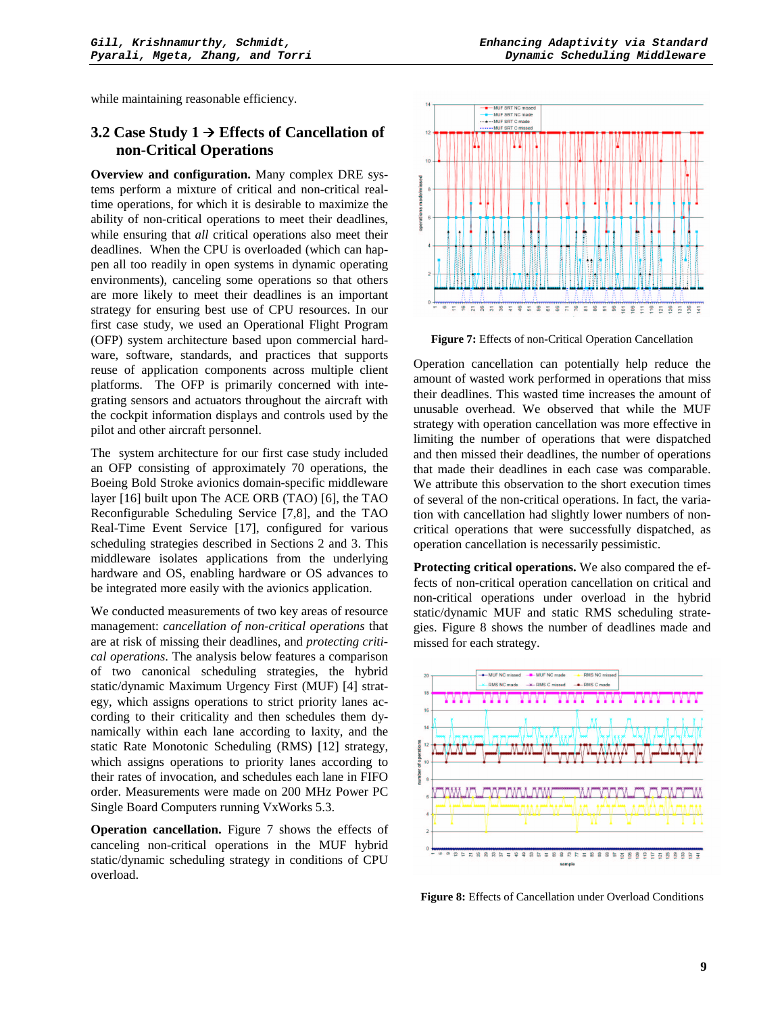while maintaining reasonable efficiency.

#### **3.2 Case Study 1 Effects of Cancellation of non-Critical Operations**

**Overview and configuration.** Many complex DRE systems perform a mixture of critical and non-critical realtime operations, for which it is desirable to maximize the ability of non-critical operations to meet their deadlines, while ensuring that *all* critical operations also meet their deadlines. When the CPU is overloaded (which can happen all too readily in open systems in dynamic operating environments), canceling some operations so that others are more likely to meet their deadlines is an important strategy for ensuring best use of CPU resources. In our first case study, we used an Operational Flight Program (OFP) system architecture based upon commercial hardware, software, standards, and practices that supports reuse of application components across multiple client platforms. The OFP is primarily concerned with integrating sensors and actuators throughout the aircraft with the cockpit information displays and controls used by the pilot and other aircraft personnel.

The system architecture for our first case study included an OFP consisting of approximately 70 operations, the Boeing Bold Stroke avionics domain-specific middleware layer [16] built upon The ACE ORB (TAO) [6], the TAO Reconfigurable Scheduling Service [7,8], and the TAO Real-Time Event Service [17], configured for various scheduling strategies described in Sections 2 and 3. This middleware isolates applications from the underlying hardware and OS, enabling hardware or OS advances to be integrated more easily with the avionics application.

We conducted measurements of two key areas of resource management: *cancellation of non-critical operations* that are at risk of missing their deadlines, and *protecting critical operations*. The analysis below features a comparison of two canonical scheduling strategies, the hybrid static/dynamic Maximum Urgency First (MUF) [4] strategy, which assigns operations to strict priority lanes according to their criticality and then schedules them dynamically within each lane according to laxity, and the static Rate Monotonic Scheduling (RMS) [12] strategy, which assigns operations to priority lanes according to their rates of invocation, and schedules each lane in FIFO order. Measurements were made on 200 MHz Power PC Single Board Computers running VxWorks 5.3.

**Operation cancellation.** Figure 7 shows the effects of canceling non-critical operations in the MUF hybrid static/dynamic scheduling strategy in conditions of CPU overload.



**Figure 7:** Effects of non-Critical Operation Cancellation

Operation cancellation can potentially help reduce the amount of wasted work performed in operations that miss their deadlines. This wasted time increases the amount of unusable overhead. We observed that while the MUF strategy with operation cancellation was more effective in limiting the number of operations that were dispatched and then missed their deadlines, the number of operations that made their deadlines in each case was comparable. We attribute this observation to the short execution times of several of the non-critical operations. In fact, the variation with cancellation had slightly lower numbers of noncritical operations that were successfully dispatched, as operation cancellation is necessarily pessimistic.

**Protecting critical operations.** We also compared the effects of non-critical operation cancellation on critical and non-critical operations under overload in the hybrid static/dynamic MUF and static RMS scheduling strategies. Figure 8 shows the number of deadlines made and missed for each strategy.



**Figure 8:** Effects of Cancellation under Overload Conditions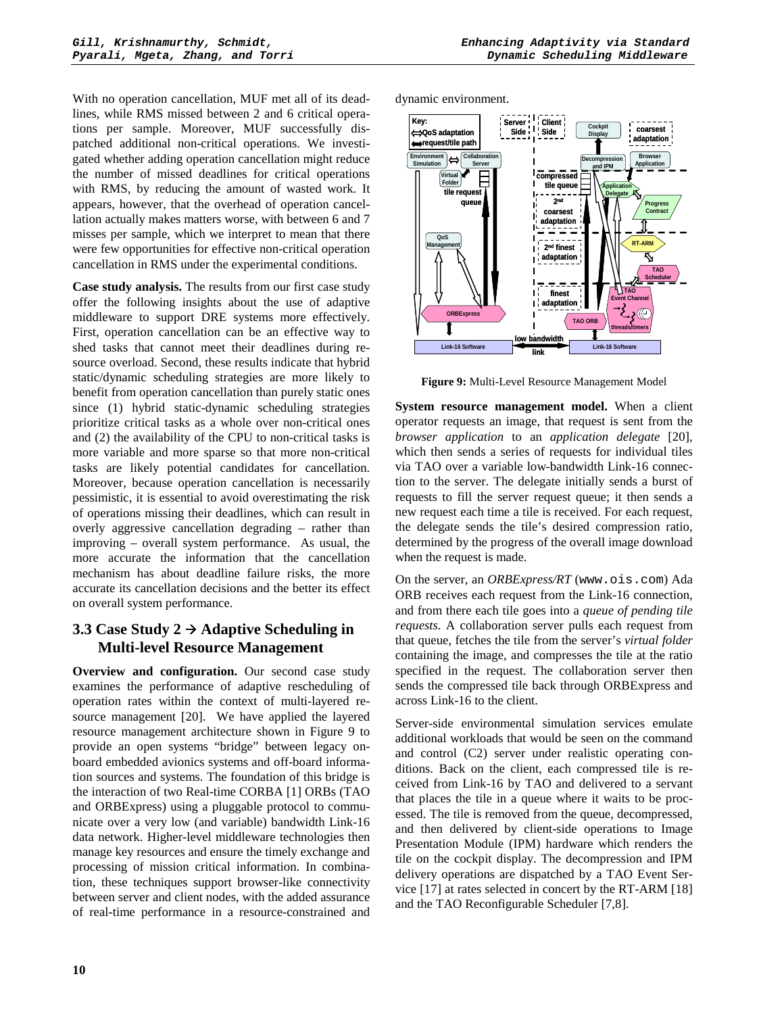With no operation cancellation, MUF met all of its deadlines, while RMS missed between 2 and 6 critical operations per sample. Moreover, MUF successfully dispatched additional non-critical operations. We investigated whether adding operation cancellation might reduce the number of missed deadlines for critical operations with RMS, by reducing the amount of wasted work. It appears, however, that the overhead of operation cancellation actually makes matters worse, with between 6 and 7 misses per sample, which we interpret to mean that there were few opportunities for effective non-critical operation cancellation in RMS under the experimental conditions.

**Case study analysis.** The results from our first case study offer the following insights about the use of adaptive middleware to support DRE systems more effectively. First, operation cancellation can be an effective way to shed tasks that cannot meet their deadlines during resource overload. Second, these results indicate that hybrid static/dynamic scheduling strategies are more likely to benefit from operation cancellation than purely static ones since (1) hybrid static-dynamic scheduling strategies prioritize critical tasks as a whole over non-critical ones and (2) the availability of the CPU to non-critical tasks is more variable and more sparse so that more non-critical tasks are likely potential candidates for cancellation. Moreover, because operation cancellation is necessarily pessimistic, it is essential to avoid overestimating the risk of operations missing their deadlines, which can result in overly aggressive cancellation degrading – rather than improving – overall system performance. As usual, the more accurate the information that the cancellation mechanism has about deadline failure risks, the more accurate its cancellation decisions and the better its effect on overall system performance.

## **3.3 Case Study 2 Adaptive Scheduling in Multi-level Resource Management**

**Overview and configuration.** Our second case study examines the performance of adaptive rescheduling of operation rates within the context of multi-layered resource management [20]. We have applied the layered resource management architecture shown in Figure 9 to provide an open systems "bridge" between legacy onboard embedded avionics systems and off-board information sources and systems. The foundation of this bridge is the interaction of two Real-time CORBA [1] ORBs (TAO and ORBExpress) using a pluggable protocol to communicate over a very low (and variable) bandwidth Link-16 data network. Higher-level middleware technologies then manage key resources and ensure the timely exchange and processing of mission critical information. In combination, these techniques support browser-like connectivity between server and client nodes, with the added assurance of real-time performance in a resource-constrained and

dynamic environment.



**Figure 9:** Multi-Level Resource Management Model

**System resource management model.** When a client operator requests an image, that request is sent from the *browser application* to an *application delegate* [20], which then sends a series of requests for individual tiles via TAO over a variable low-bandwidth Link-16 connection to the server. The delegate initially sends a burst of requests to fill the server request queue; it then sends a new request each time a tile is received. For each request, the delegate sends the tile's desired compression ratio, determined by the progress of the overall image download when the request is made.

On the server, an *ORBExpress/RT* (www.ois.com) Ada ORB receives each request from the Link-16 connection, and from there each tile goes into a *queue of pending tile requests*. A collaboration server pulls each request from that queue, fetches the tile from the server's *virtual folder* containing the image, and compresses the tile at the ratio specified in the request. The collaboration server then sends the compressed tile back through ORBExpress and across Link-16 to the client.

Server-side environmental simulation services emulate additional workloads that would be seen on the command and control (C2) server under realistic operating conditions. Back on the client, each compressed tile is received from Link-16 by TAO and delivered to a servant that places the tile in a queue where it waits to be processed. The tile is removed from the queue, decompressed, and then delivered by client-side operations to Image Presentation Module (IPM) hardware which renders the tile on the cockpit display. The decompression and IPM delivery operations are dispatched by a TAO Event Service [17] at rates selected in concert by the RT-ARM [18] and the TAO Reconfigurable Scheduler [7,8].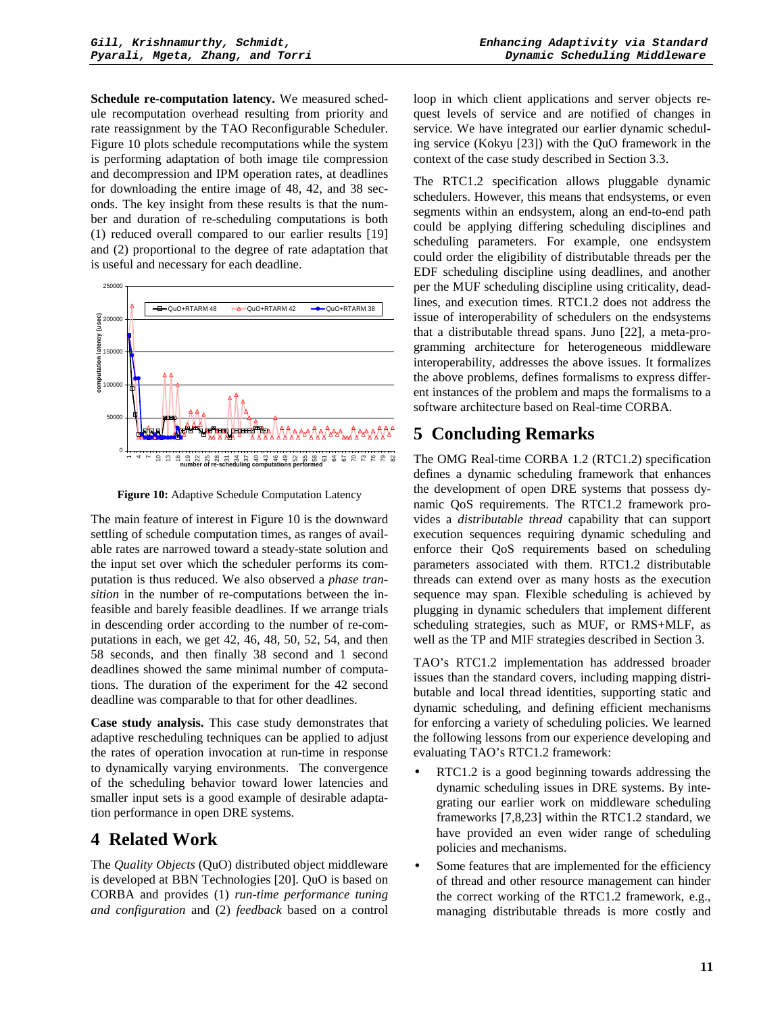**Schedule re-computation latency.** We measured schedule recomputation overhead resulting from priority and rate reassignment by the TAO Reconfigurable Scheduler. Figure 10 plots schedule recomputations while the system is performing adaptation of both image tile compression and decompression and IPM operation rates, at deadlines for downloading the entire image of 48, 42, and 38 seconds. The key insight from these results is that the number and duration of re-scheduling computations is both (1) reduced overall compared to our earlier results [19] and (2) proportional to the degree of rate adaptation that is useful and necessary for each deadline.



**Figure 10:** Adaptive Schedule Computation Latency

The main feature of interest in Figure 10 is the downward settling of schedule computation times, as ranges of available rates are narrowed toward a steady-state solution and the input set over which the scheduler performs its computation is thus reduced. We also observed a *phase transition* in the number of re-computations between the infeasible and barely feasible deadlines. If we arrange trials in descending order according to the number of re-computations in each, we get 42, 46, 48, 50, 52, 54, and then 58 seconds, and then finally 38 second and 1 second deadlines showed the same minimal number of computations. The duration of the experiment for the 42 second deadline was comparable to that for other deadlines.

**Case study analysis.** This case study demonstrates that adaptive rescheduling techniques can be applied to adjust the rates of operation invocation at run-time in response to dynamically varying environments. The convergence of the scheduling behavior toward lower latencies and smaller input sets is a good example of desirable adaptation performance in open DRE systems.

## **4 Related Work**

The *Quality Objects* (QuO) distributed object middleware is developed at BBN Technologies [20]. QuO is based on CORBA and provides (1) *run-time performance tuning and configuration* and (2) *feedback* based on a control loop in which client applications and server objects request levels of service and are notified of changes in service. We have integrated our earlier dynamic scheduling service (Kokyu [23]) with the QuO framework in the context of the case study described in Section 3.3.

The RTC1.2 specification allows pluggable dynamic schedulers. However, this means that endsystems, or even segments within an endsystem, along an end-to-end path could be applying differing scheduling disciplines and scheduling parameters. For example, one endsystem could order the eligibility of distributable threads per the EDF scheduling discipline using deadlines, and another per the MUF scheduling discipline using criticality, deadlines, and execution times. RTC1.2 does not address the issue of interoperability of schedulers on the endsystems that a distributable thread spans. Juno [22], a meta-programming architecture for heterogeneous middleware interoperability, addresses the above issues. It formalizes the above problems, defines formalisms to express different instances of the problem and maps the formalisms to a software architecture based on Real-time CORBA.

# **5 Concluding Remarks**

The OMG Real-time CORBA 1.2 (RTC1.2) specification defines a dynamic scheduling framework that enhances the development of open DRE systems that possess dynamic QoS requirements. The RTC1.2 framework provides a *distributable thread* capability that can support execution sequences requiring dynamic scheduling and enforce their QoS requirements based on scheduling parameters associated with them. RTC1.2 distributable threads can extend over as many hosts as the execution sequence may span. Flexible scheduling is achieved by plugging in dynamic schedulers that implement different scheduling strategies, such as MUF, or RMS+MLF, as well as the TP and MIF strategies described in Section 3.

TAO's RTC1.2 implementation has addressed broader issues than the standard covers, including mapping distributable and local thread identities, supporting static and dynamic scheduling, and defining efficient mechanisms for enforcing a variety of scheduling policies. We learned the following lessons from our experience developing and evaluating TAO's RTC1.2 framework:

- RTC1.2 is a good beginning towards addressing the dynamic scheduling issues in DRE systems. By integrating our earlier work on middleware scheduling frameworks [7,8,23] within the RTC1.2 standard, we have provided an even wider range of scheduling policies and mechanisms.
- Some features that are implemented for the efficiency of thread and other resource management can hinder the correct working of the RTC1.2 framework, e.g., managing distributable threads is more costly and